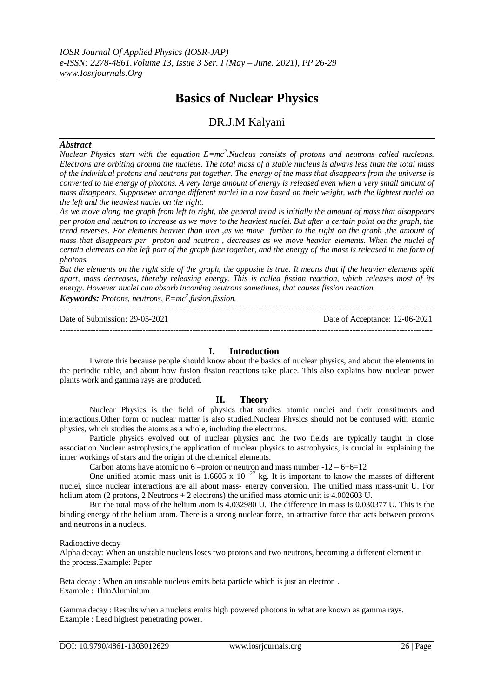# **Basics of Nuclear Physics**

# DR.J.M Kalyani

## *Abstract*

*Nuclear Physics start with the equation E=mc<sup>2</sup>. Nucleus consists of protons and neutrons called nucleons. Electrons are orbiting around the nucleus. The total mass of a stable nucleus is always less than the total mass of the individual protons and neutrons put together. The energy of the mass that disappears from the universe is converted to the energy of photons. A very large amount of energy is released even when a very small amount of mass disappears. Supposewe arrange different nuclei in a row based on their weight, with the lightest nuclei on the left and the heaviest nuclei on the right.*

*As we move along the graph from left to right, the general trend is initially the amount of mass that disappears per proton and neutron to increase as we move to the heaviest nuclei. But after a certain point on the graph, the trend reverses. For elements heavier than iron ,as we move further to the right on the graph ,the amount of mass that disappears per proton and neutron , decreases as we move heavier elements. When the nuclei of certain elements on the left part of the graph fuse together, and the energy of the mass is released in the form of photons.*

*But the elements on the right side of the graph, the opposite is true. It means that if the heavier elements spilt apart, mass decreases, thereby releasing energy. This is called fission reaction, which releases most of its energy. However nuclei can absorb incoming neutrons sometimes, that causes fission reaction.*

*Keywords: Protons, neutrons, E=mc<sup>2</sup> ,fusion,fission.*

--------------------------------------------------------------------------------------------------------------------------------------- Date of Submission: 29-05-2021 Date of Acceptance: 12-06-2021 ---------------------------------------------------------------------------------------------------------------------------------------

# **I. Introduction**

I wrote this because people should know about the basics of nuclear physics, and about the elements in the periodic table, and about how fusion fission reactions take place. This also explains how nuclear power plants work and gamma rays are produced.

# **II. Theory**

Nuclear Physics is the field of physics that studies atomic nuclei and their constituents and interactions.Other form of nuclear matter is also studied.Nuclear Physics should not be confused with atomic physics, which studies the atoms as a whole, including the electrons.

Particle physics evolved out of nuclear physics and the two fields are typically taught in close association.Nuclear astrophysics,the application of nuclear physics to astrophysics, is crucial in explaining the inner workings of stars and the origin of the chemical elements.

Carbon atoms have atomic no  $6$  –proton or neutron and mass number  $-12 - 6 + 6 = 12$ 

One unified atomic mass unit is 1.6605 x 10<sup>-27</sup> kg. It is important to know the masses of different nuclei, since nuclear interactions are all about mass- energy conversion. The unified mass mass-unit U. For helium atom (2 protons, 2 Neutrons + 2 electrons) the unified mass atomic unit is 4.002603 U.

But the total mass of the helium atom is 4.032980 U. The difference in mass is 0.030377 U. This is the binding energy of the helium atom. There is a strong nuclear force, an attractive force that acts between protons and neutrons in a nucleus.

Radioactive decay

Alpha decay: When an unstable nucleus loses two protons and two neutrons, becoming a different element in the process.Example: Paper

Beta decay : When an unstable nucleus emits beta particle which is just an electron . Example : ThinAluminium

Gamma decay : Results when a nucleus emits high powered photons in what are known as gamma rays. Example : Lead highest penetrating power.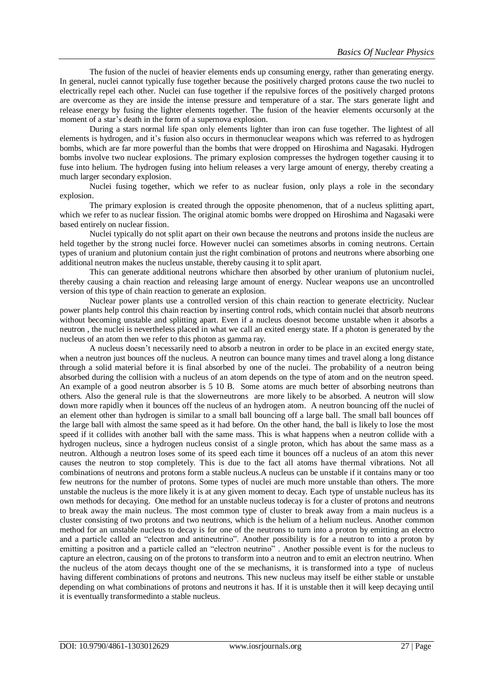The fusion of the nuclei of heavier elements ends up consuming energy, rather than generating energy. In general, nuclei cannot typically fuse together because the positively charged protons cause the two nuclei to electrically repel each other. Nuclei can fuse together if the repulsive forces of the positively charged protons are overcome as they are inside the intense pressure and temperature of a star. The stars generate light and release energy by fusing the lighter elements together. The fusion of the heavier elements occursonly at the moment of a star's death in the form of a supernova explosion.

During a stars normal life span only elements lighter than iron can fuse together. The lightest of all elements is hydrogen, and it's fusion also occurs in thermonuclear weapons which was referred to as hydrogen bombs, which are far more powerful than the bombs that were dropped on Hiroshima and Nagasaki. Hydrogen bombs involve two nuclear explosions. The primary explosion compresses the hydrogen together causing it to fuse into helium. The hydrogen fusing into helium releases a very large amount of energy, thereby creating a much larger secondary explosion.

Nuclei fusing together, which we refer to as nuclear fusion, only plays a role in the secondary explosion.

The primary explosion is created through the opposite phenomenon, that of a nucleus splitting apart, which we refer to as nuclear fission. The original atomic bombs were dropped on Hiroshima and Nagasaki were based entirely on nuclear fission.

Nuclei typically do not split apart on their own because the neutrons and protons inside the nucleus are held together by the strong nuclei force. However nuclei can sometimes absorbs in coming neutrons. Certain types of uranium and plutonium contain just the right combination of protons and neutrons where absorbing one additional neutron makes the nucleus unstable, thereby causing it to split apart.

This can generate additional neutrons whichare then absorbed by other uranium of plutonium nuclei, thereby causing a chain reaction and releasing large amount of energy. Nuclear weapons use an uncontrolled version of this type of chain reaction to generate an explosion.

Nuclear power plants use a controlled version of this chain reaction to generate electricity. Nuclear power plants help control this chain reaction by inserting control rods, which contain nuclei that absorb neutrons without becoming unstable and splitting apart. Even if a nucleus doesnot become unstable when it absorbs a neutron , the nuclei is nevertheless placed in what we call an exited energy state. If a photon is generated by the nucleus of an atom then we refer to this photon as gamma ray.

A nucleus doesn't necessarily need to absorb a neutron in order to be place in an excited energy state, when a neutron just bounces off the nucleus. A neutron can bounce many times and travel along a long distance through a solid material before it is final absorbed by one of the nuclei. The probability of a neutron being absorbed during the collision with a nucleus of an atom depends on the type of atom and on the neutron speed. An example of a good neutron absorber is 5 10 B. Some atoms are much better of absorbing neutrons than others. Also the general rule is that the slowerneutrons are more likely to be absorbed. A neutron will slow down more rapidly when it bounces off the nucleus of an hydrogen atom. A neutron bouncing off the nuclei of an element other than hydrogen is similar to a small ball bouncing off a large ball. The small ball bounces off the large ball with almost the same speed as it had before. On the other hand, the ball is likely to lose the most speed if it collides with another ball with the same mass. This is what happens when a neutron collide with a hydrogen nucleus, since a hydrogen nucleus consist of a single proton, which has about the same mass as a neutron. Although a neutron loses some of its speed each time it bounces off a nucleus of an atom this never causes the neutron to stop completely. This is due to the fact all atoms have thermal vibrations. Not all combinations of neutrons and protons form a stable nucleus.A nucleus can be unstable if it contains many or too few neutrons for the number of protons. Some types of nuclei are much more unstable than others. The more unstable the nucleus is the more likely it is at any given moment to decay. Each type of unstable nucleus has its own methods for decaying. One method for an unstable nucleus todecay is for a cluster of protons and neutrons to break away the main nucleus. The most common type of cluster to break away from a main nucleus is a cluster consisting of two protons and two neutrons, which is the helium of a helium nucleus. Another common method for an unstable nucleus to decay is for one of the neutrons to turn into a proton by emitting an electro and a particle called an "electron and antineutrino". Another possibility is for a neutron to into a proton by emitting a positron and a particle called an "electron neutrino". Another possible event is for the nucleus to capture an electron, causing on of the protons to transform into a neutron and to emit an electron neutrino. When the nucleus of the atom decays thought one of the se mechanisms, it is transformed into a type of nucleus having different combinations of protons and neutrons. This new nucleus may itself be either stable or unstable depending on what combinations of protons and neutrons it has. If it is unstable then it will keep decaying until it is eventually transformedinto a stable nucleus.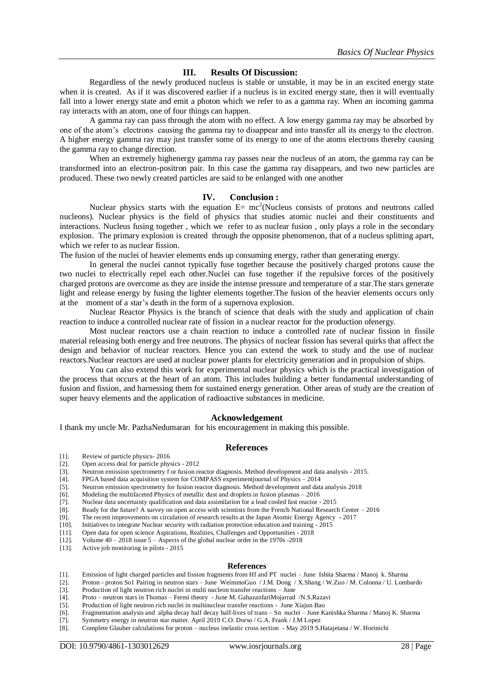#### **III. Results Of Discussion:**

Regardless of the newly produced nucleus is stable or unstable, it may be in an excited energy state when it is created. As if it was discovered earlier if a nucleus is in excited energy state, then it will eventually fall into a lower energy state and emit a photon which we refer to as a gamma ray. When an incoming gamma ray interacts with an atom, one of four things can happen.

A gamma ray can pass through the atom with no effect. A low energy gamma ray may be absorbed by one of the atom's electrons causing the gamma ray to disappear and into transfer all its energy to the electron. A higher energy gamma ray may just transfer some of its energy to one of the atoms electrons thereby causing the gamma ray to change direction.

When an extremely highenergy gamma ray passes near the nucleus of an atom, the gamma ray can be transformed into an electron-positron pair. In this case the gamma ray disappears, and two new particles are produced. These two newly created particles are said to be enlanged with one another

#### **IV. Conclusion :**

Nuclear physics starts with the equation  $E= mc^2$  (Nucleus consists of protons and neutrons called nucleons). Nuclear physics is the field of physics that studies atomic nuclei and their constituents and interactions. Nucleus fusing together , which we refer to as nuclear fusion , only plays a role in the secondary explosion. The primary explosion is created through the opposite phenomenon, that of a nucleus splitting apart, which we refer to as nuclear fission.

The fusion of the nuclei of heavier elements ends up consuming energy, rather than generating energy.

In general the nuclei cannot typically fuse together because the positively charged protons cause the two nuclei to electrically repel each other.Nuclei can fuse together if the repulsive forces of the positively charged protons are overcome as they are inside the intense pressure and temperature of a star.The stars generate light and release energy by fusing the lighter elements together.The fusion of the heavier elements occurs only at the moment of a star's death in the form of a supernova explosion.

Nuclear Reactor Physics is the branch of science that deals with the study and application of chain reaction to induce a controlled nuclear rate of fission in a nuclear reactor for the production ofenergy.

Most nuclear reactors use a chain reaction to induce a controlled rate of nuclear fission in fissile material releasing both energy and free neutrons. The physics of nuclear fission has several quirks that affect the design and behavior of nuclear reactors. Hence you can extend the work to study and the use of nuclear reactors.Nuclear reactors are used at nuclear power plants for electricity generation and in propulsion of ships.

You can also extend this work for experimental nuclear physics which is the practical investigation of the process that occurs at the heart of an atom. This includes building a better fundamental understanding of fusion and fission, and harnessing them for sustained energy generation. Other areas of study are the creation of super heavy elements and the application of radioactive substances in medicine.

## **Acknowledgement**

I thank my uncle Mr. PazhaNedumaran for his encouragement in making this possible.

#### **References**

- [1]. Review of particle physics- 2016<br>[2]. Open access deal for particle physics-
- Open access deal for particle physics 2012
- [3]. Neutron emission spectrometry f or fusion reactor diagnosis. Method development and data analysis 2015.
- [4]. FPGA based data acquisition system for COMPASS experimentjournal of Physics 2014
- Neutron emission spectrometry for fusion reactor diagnosis. Method development and data analysis 2018
- [6]. Modeling the multifaceted Physics of metallic dust and droplets in fusion plasmas 2016
- Nuclear data uncertainty qualification and data assimilation for a lead cooled fast reactor 2015
- [8]. Ready for the future? A survey on open access with scientists from the French National Research Center 2016
- [9]. The recent improvements on circulation of research results at the Japan Atomic Energy Agency 2017
- [10]. Initiatives to integrate Nuclear security with radiation protection education and training 2015
- [11]. Open data for open science Aspirations, Realities, Challenges and Opportunities 2018
- [12]. Volume  $40 2018$  issue  $5 -$  Aspects of the global nuclear order in the 1970s -2018
- [13]. Active job monitoring in pilots 2015

#### **References**

- [1]. Emission of light charged particles and fission fragments from Hf and PT nuclei June Ishita Sharma / Manoj k. Sharma
- [2]. Proton proton So1 Pairing in neutron stars June WeimmoGuo / J.M. Dong / X.Shang / W.Zuo / M. Colonna / U. Lombardo
- [3]. Production of light neutron rich nuclei in multi nucleon transfer reactions June
- [4]. Proto neutron stars in Thomas Fermi theory June M. GahazanfariMojarrad /N.S.Razavi
- [5]. Production of light neutron rich nuclei in multinuclear transfer reactions June Xiajun Bao
- Fragmentation analysis and alpha decay half decay half-lives of trans Sn nuclei June Kanishka Sharma / Manoj K. Sharma
- [7]. Symmetry energy in neutron star matter. April 2019 C.O. Dorso / G.A. Frank / J.M Lopez
- [8]. Complete Glauber calculations for proton nucleus inelastic cross section May 2019 S.Hatajetana / W. Horinichi